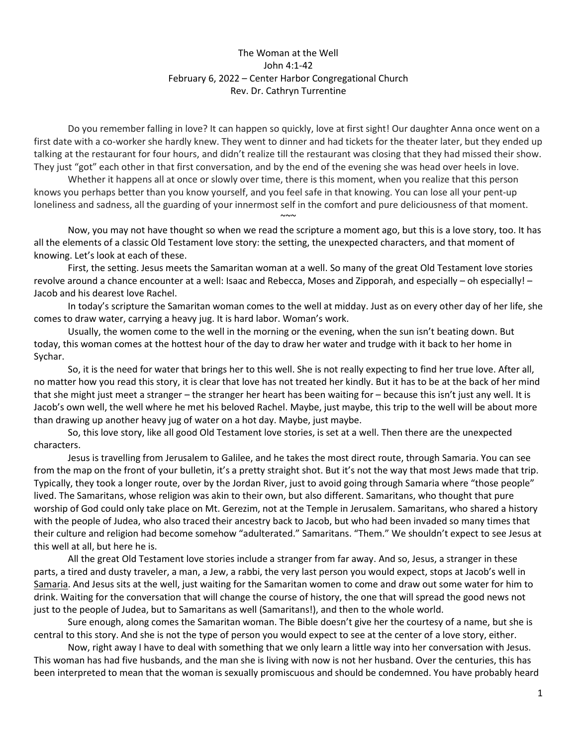## The Woman at the Well John 4:1-42 February 6, 2022 – Center Harbor Congregational Church Rev. Dr. Cathryn Turrentine

Do you remember falling in love? It can happen so quickly, love at first sight! Our daughter Anna once went on a first date with a co-worker she hardly knew. They went to dinner and had tickets for the theater later, but they ended up talking at the restaurant for four hours, and didn't realize till the restaurant was closing that they had missed their show. They just "got" each other in that first conversation, and by the end of the evening she was head over heels in love.

Whether it happens all at once or slowly over time, there is this moment, when you realize that this person knows you perhaps better than you know yourself, and you feel safe in that knowing. You can lose all your pent-up loneliness and sadness, all the guarding of your innermost self in the comfort and pure deliciousness of that moment.

Now, you may not have thought so when we read the scripture a moment ago, but this is a love story, too. It has all the elements of a classic Old Testament love story: the setting, the unexpected characters, and that moment of knowing. Let's look at each of these.

 $\sim$   $\sim$ 

First, the setting. Jesus meets the Samaritan woman at a well. So many of the great Old Testament love stories revolve around a chance encounter at a well: Isaac and Rebecca, Moses and Zipporah, and especially – oh especially! – Jacob and his dearest love Rachel.

In today's scripture the Samaritan woman comes to the well at midday. Just as on every other day of her life, she comes to draw water, carrying a heavy jug. It is hard labor. Woman's work.

Usually, the women come to the well in the morning or the evening, when the sun isn't beating down. But today, this woman comes at the hottest hour of the day to draw her water and trudge with it back to her home in Sychar.

So, it is the need for water that brings her to this well. She is not really expecting to find her true love. After all, no matter how you read this story, it is clear that love has not treated her kindly. But it has to be at the back of her mind that she might just meet a stranger – the stranger her heart has been waiting for – because this isn't just any well. It is Jacob's own well, the well where he met his beloved Rachel. Maybe, just maybe, this trip to the well will be about more than drawing up another heavy jug of water on a hot day. Maybe, just maybe.

So, this love story, like all good Old Testament love stories, is set at a well. Then there are the unexpected characters.

Jesus is travelling from Jerusalem to Galilee, and he takes the most direct route, through Samaria. You can see from the map on the front of your bulletin, it's a pretty straight shot. But it's not the way that most Jews made that trip. Typically, they took a longer route, over by the Jordan River, just to avoid going through Samaria where "those people" lived. The Samaritans, whose religion was akin to their own, but also different. Samaritans, who thought that pure worship of God could only take place on Mt. Gerezim, not at the Temple in Jerusalem. Samaritans, who shared a history with the people of Judea, who also traced their ancestry back to Jacob, but who had been invaded so many times that their culture and religion had become somehow "adulterated." Samaritans. "Them." We shouldn't expect to see Jesus at this well at all, but here he is.

All the great Old Testament love stories include a stranger from far away. And so, Jesus, a stranger in these parts, a tired and dusty traveler, a man, a Jew, a rabbi, the very last person you would expect, stops at Jacob's well in Samaria. And Jesus sits at the well, just waiting for the Samaritan women to come and draw out some water for him to drink. Waiting for the conversation that will change the course of history, the one that will spread the good news not just to the people of Judea, but to Samaritans as well (Samaritans!), and then to the whole world.

Sure enough, along comes the Samaritan woman. The Bible doesn't give her the courtesy of a name, but she is central to this story. And she is not the type of person you would expect to see at the center of a love story, either.

Now, right away I have to deal with something that we only learn a little way into her conversation with Jesus. This woman has had five husbands, and the man she is living with now is not her husband. Over the centuries, this has been interpreted to mean that the woman is sexually promiscuous and should be condemned. You have probably heard